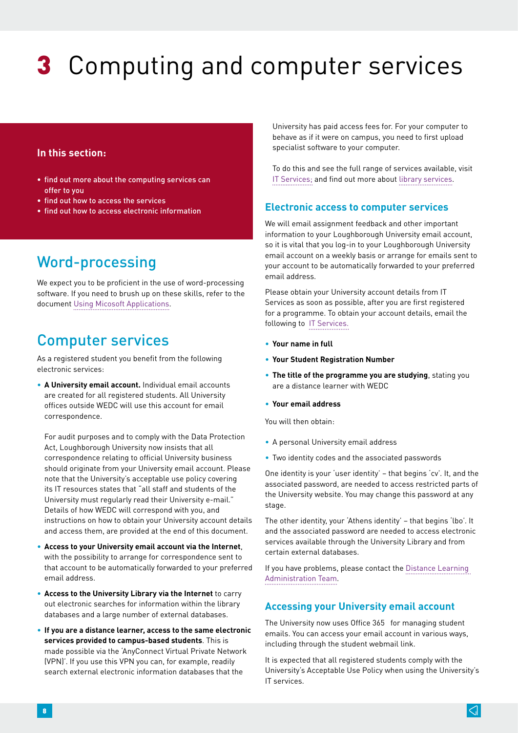# **3** Computing and computer services

## **In this section:**

- find out more about the computing services can offer to you
- find out how to access the services
- find out how to access electronic information

# Word-processing

We expect you to be proficient in the use of word-processing software. If you need to brush up on these skills, refer to the document [Using Micosoft Applications.](http://www.lboro.ac.uk/research/wedc/programmes/iwsm-portal)

# Computer services

As a registered student you benefit from the following electronic services:

• **A University email account.** Individual email accounts are created for all registered students. All University offices outside WEDC will use this account for email correspondence.

For audit purposes and to comply with the Data Protection Act, Loughborough University now insists that all correspondence relating to official University business should originate from your University email account. Please note that the University's acceptable use policy covering its IT resources states that "all staff and students of the University must regularly read their University e-mail." Details of how WEDC will correspond with you, and instructions on how to obtain your University account details and access them, are provided at the end of this document.

- **Access to your University email account via the Internet**, with the possibility to arrange for correspondence sent to that account to be automatically forwarded to your preferred email address.
- **Access to the University Library via the Internet** to carry out electronic searches for information within the library databases and a large number of external databases.
- **If you are a distance learner, access to the same electronic services provided to campus-based students**. This is made possible via the 'AnyConnect Virtual Private Network (VPN)'. If you use this VPN you can, for example, readily search external electronic information databases that the

University has paid access fees for. For your computer to behave as if it were on campus, you need to first upload specialist software to your computer.

To do this and see the full range of services available, visit [IT Services;](http://www.lboro.ac.uk/services/it/) and find out more about [library services.](https://www.lboro.ac.uk/services/library/students/usingthelibrary/onlineresources/passwordsandauthentication/)

### **Electronic access to computer services**

We will email assignment feedback and other important information to your Loughborough University email account, so it is vital that you log-in to your Loughborough University email account on a weekly basis or arrange for emails sent to your account to be automatically forwarded to your preferred email address.

Please obtain your University account details from IT Services as soon as possible, after you are first registered for a programme. To obtain your account details, email the following to [IT Services.](http://www.lboro.ac.uk/services/it/)

- **Your name in full**
- **Your Student Registration Number**
- **The title of the programme you are studying**, stating you are a distance learner with WEDC
- **Your email address**

You will then obtain:

- A personal University email address
- Two identity codes and the associated passwords

One identity is your 'user identity' – that begins 'cv'. It, and the associated password, are needed to access restricted parts of the University website. You may change this password at any stage.

The other identity, your 'Athens identity' – that begins 'lbo'. It and the associated password are needed to access electronic services available through the University Library and from certain external databases.

If you have problems, please contact the [Distance Learning](mailto:wedc.distl%40lboro.ac.uk?subject=)  [Administration Team](mailto:wedc.distl%40lboro.ac.uk?subject=).

### **Accessing your University email account**

The University now uses Office 365 for managing student emails. You can access your email account in various ways, including through the student webmail link.

It is expected that all registered students comply with the University's Acceptable Use Policy when using the University's IT services.